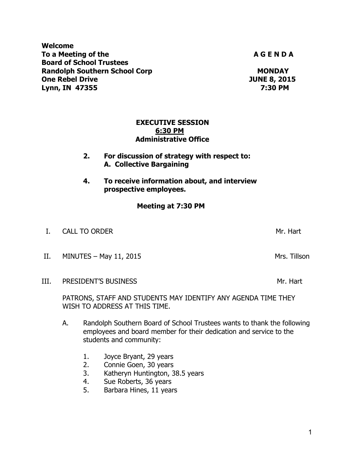**Welcome**  To a Meeting of the **A G E N D A A G E N D A Board of School Trustees Randolph Southern School Corp MONDAY MONDAY**<br> **One Rebel Drive One Rebel Drive One Rebel Drive Lynn, IN 47355 7:30 PM** 

> **EXECUTIVE SESSION 6:30 PM Administrative Office**

 **2. For discussion of strategy with respect to: A. Collective Bargaining** 

**4. To receive information about, and interview prospective employees.** 

 **Meeting at 7:30 PM** 

- I. CALL TO ORDER Mr. Hart L. CALL TO ORDER Mr. Hart L. CALL TO ORDER MR. HART L. L. L. L. L. L. L. L. L. L. L.
- II. MINUTES May 11, 2015 Mrs. Tillson
- III. PRESIDENT'S BUSINESS Manual Control of the Mr. Hart

PATRONS, STAFF AND STUDENTS MAY IDENTIFY ANY AGENDA TIME THEY WISH TO ADDRESS AT THIS TIME.

- A. Randolph Southern Board of School Trustees wants to thank the following employees and board member for their dedication and service to the students and community:
	- 1. Joyce Bryant, 29 years
	- 2. Connie Goen, 30 years
	- 3. Katheryn Huntington, 38.5 years
	- 4. Sue Roberts, 36 years
	- 5. Barbara Hines, 11 years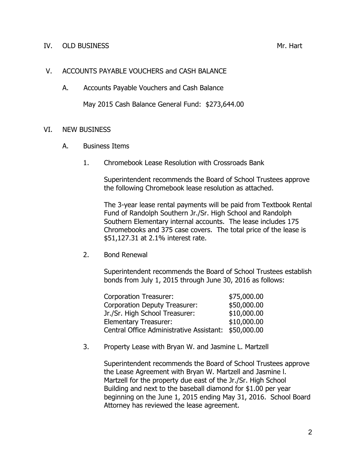#### IV. OLD BUSINESS Mr. Hart

### V. ACCOUNTS PAYABLE VOUCHERS and CASH BALANCE

A. Accounts Payable Vouchers and Cash Balance

May 2015 Cash Balance General Fund: \$273,644.00

# VI. NEW BUSINESS

- A. Business Items
	- 1. Chromebook Lease Resolution with Crossroads Bank

Superintendent recommends the Board of School Trustees approve the following Chromebook lease resolution as attached.

The 3-year lease rental payments will be paid from Textbook Rental Fund of Randolph Southern Jr./Sr. High School and Randolph Southern Elementary internal accounts. The lease includes 175 Chromebooks and 375 case covers. The total price of the lease is \$51,127.31 at 2.1% interest rate.

#### 2. Bond Renewal

Superintendent recommends the Board of School Trustees establish bonds from July 1, 2015 through June 30, 2016 as follows:

| Corporation Treasurer:                               | \$75,000.00 |
|------------------------------------------------------|-------------|
| Corporation Deputy Treasurer:                        | \$50,000.00 |
| Jr./Sr. High School Treasurer:                       | \$10,000.00 |
| Elementary Treasurer:                                | \$10,000.00 |
| Central Office Administrative Assistant: \$50,000.00 |             |

3. Property Lease with Bryan W. and Jasmine L. Martzell

Superintendent recommends the Board of School Trustees approve the Lease Agreement with Bryan W. Martzell and Jasmine l. Martzell for the property due east of the Jr./Sr. High School Building and next to the baseball diamond for \$1.00 per year beginning on the June 1, 2015 ending May 31, 2016. School Board Attorney has reviewed the lease agreement.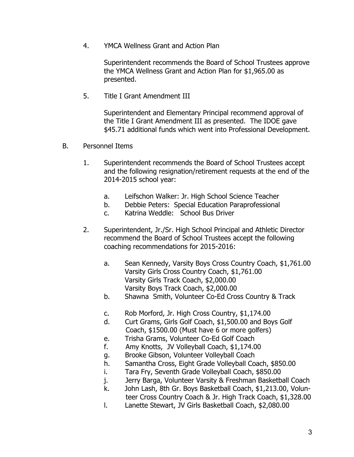4. YMCA Wellness Grant and Action Plan

Superintendent recommends the Board of School Trustees approve the YMCA Wellness Grant and Action Plan for \$1,965.00 as presented.

5. Title I Grant Amendment III

Superintendent and Elementary Principal recommend approval of the Title I Grant Amendment III as presented. The IDOE gave \$45.71 additional funds which went into Professional Development.

- B. Personnel Items
	- 1. Superintendent recommends the Board of School Trustees accept and the following resignation/retirement requests at the end of the 2014-2015 school year:
		- a. Leifschon Walker: Jr. High School Science Teacher
		- b. Debbie Peters: Special Education Paraprofessional
		- c. Katrina Weddle: School Bus Driver
	- 2. Superintendent, Jr./Sr. High School Principal and Athletic Director recommend the Board of School Trustees accept the following coaching recommendations for 2015-2016:
		- a. Sean Kennedy, Varsity Boys Cross Country Coach, \$1,761.00 Varsity Girls Cross Country Coach, \$1,761.00 Varsity Girls Track Coach, \$2,000.00 Varsity Boys Track Coach, \$2,000.00
		- b. Shawna Smith, Volunteer Co-Ed Cross Country & Track
		- c. Rob Morford, Jr. High Cross Country, \$1,174.00
		- d. Curt Grams, Girls Golf Coach, \$1,500.00 and Boys Golf Coach, \$1500.00 (Must have 6 or more golfers)
		- e. Trisha Grams, Volunteer Co-Ed Golf Coach
		- f. Amy Knotts, JV Volleyball Coach, \$1,174.00
		- g. Brooke Gibson, Volunteer Volleyball Coach
		- h. Samantha Cross, Eight Grade Volleyball Coach, \$850.00
		- i. Tara Fry, Seventh Grade Volleyball Coach, \$850.00
		- j. Jerry Barga, Volunteer Varsity & Freshman Basketball Coach
		- k. John Lash, 8th Gr. Boys Basketball Coach, \$1,213.00, Volun teer Cross Country Coach & Jr. High Track Coach, \$1,328.00
		- l. Lanette Stewart, JV Girls Basketball Coach, \$2,080.00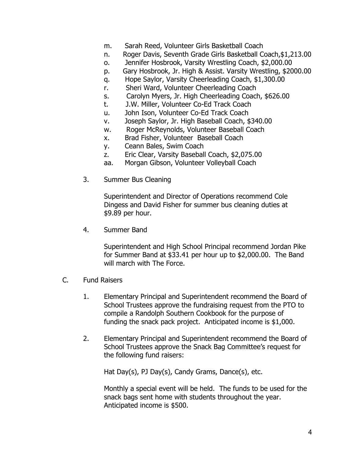- m. Sarah Reed, Volunteer Girls Basketball Coach
- n. Roger Davis, Seventh Grade Girls Basketball Coach,\$1,213.00
- o. Jennifer Hosbrook, Varsity Wrestling Coach, \$2,000.00
- p. Gary Hosbrook, Jr. High & Assist. Varsity Wrestling, \$2000.00
- q. Hope Saylor, Varsity Cheerleading Coach, \$1,300.00
- r. Sheri Ward, Volunteer Cheerleading Coach
- s. Carolyn Myers, Jr. High Cheerleading Coach, \$626.00
- t. J.W. Miller, Volunteer Co-Ed Track Coach
- u. John Ison, Volunteer Co-Ed Track Coach
- v. Joseph Saylor, Jr. High Baseball Coach, \$340.00
- w. Roger McReynolds, Volunteer Baseball Coach
- x. Brad Fisher, Volunteer Baseball Coach
- y. Ceann Bales, Swim Coach
- z. Eric Clear, Varsity Baseball Coach, \$2,075.00
- aa. Morgan Gibson, Volunteer Volleyball Coach
- 3. Summer Bus Cleaning

Superintendent and Director of Operations recommend Cole Dingess and David Fisher for summer bus cleaning duties at \$9.89 per hour.

4. Summer Band

Superintendent and High School Principal recommend Jordan Pike for Summer Band at \$33.41 per hour up to \$2,000.00. The Band will march with The Force.

- C. Fund Raisers
	- 1. Elementary Principal and Superintendent recommend the Board of School Trustees approve the fundraising request from the PTO to compile a Randolph Southern Cookbook for the purpose of funding the snack pack project. Anticipated income is \$1,000.
	- 2. Elementary Principal and Superintendent recommend the Board of School Trustees approve the Snack Bag Committee's request for the following fund raisers:

Hat Day(s), PJ Day(s), Candy Grams, Dance(s), etc.

 Monthly a special event will be held. The funds to be used for the snack bags sent home with students throughout the year. Anticipated income is \$500.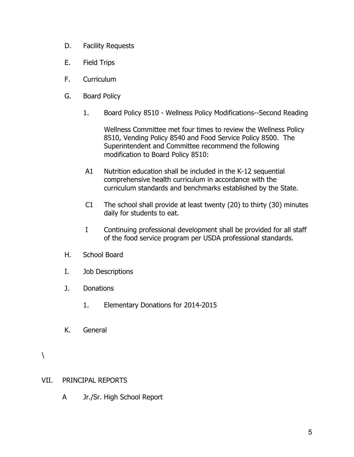- D. Facility Requests
- E. Field Trips
- F. Curriculum
- G. Board Policy
	- 1. Board Policy 8510 Wellness Policy Modifications--Second Reading

Wellness Committee met four times to review the Wellness Policy 8510, Vending Policy 8540 and Food Service Policy 8500. The Superintendent and Committee recommend the following modification to Board Policy 8510:

- A1 Nutrition education shall be included in the K-12 sequential comprehensive health curriculum in accordance with the curriculum standards and benchmarks established by the State.
- C1 The school shall provide at least twenty (20) to thirty (30) minutes daily for students to eat.
- I Continuing professional development shall be provided for all staff of the food service program per USDA professional standards.
- H. School Board
- I. Job Descriptions
- J. Donations
	- 1. Elementary Donations for 2014-2015
- K. General

#### VII. PRINCIPAL REPORTS

A Jr./Sr. High School Report

 $\setminus$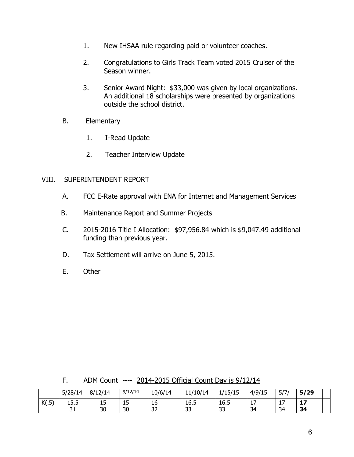- 1. New IHSAA rule regarding paid or volunteer coaches.
- 2. Congratulations to Girls Track Team voted 2015 Cruiser of the Season winner.
- 3. Senior Award Night: \$33,000 was given by local organizations. An additional 18 scholarships were presented by organizations outside the school district.
- B. Elementary
	- 1. I-Read Update
	- 2. Teacher Interview Update

# VIII. SUPERINTENDENT REPORT

- A. FCC E-Rate approval with ENA for Internet and Management Services
- B. Maintenance Report and Summer Projects
- C. 2015-2016 Title I Allocation: \$97,956.84 which is \$9,047.49 additional funding than previous year.
- D. Tax Settlement will arrive on June 5, 2015.
- E. Other

F. ADM Count ---- 2014-2015 Official Count Day is 9/12/14

|              | 5/28/14         | 8/12/14     | 9/12/14             | 10/6/14      | 11/10/14  | /15/15<br>-- | 4/9/15        | 5/7/               | 5/29     |  |
|--------------|-----------------|-------------|---------------------|--------------|-----------|--------------|---------------|--------------------|----------|--|
| V(T)<br>C.JA | к<br><b></b>    | $\sim$<br>ᅩ | $\blacksquare$<br>ᅩ | 16           | 16.5      | 16.5         | -<br><b>+</b> | $\rightarrow$<br>. | - 7<br>Ŧ |  |
|              | <b>.</b><br>ັບ⊥ | 30          | 30                  | $\sim$<br>ےر | າາ<br>ر ر | າາ<br>ر ر    | 34            | 34                 | 34       |  |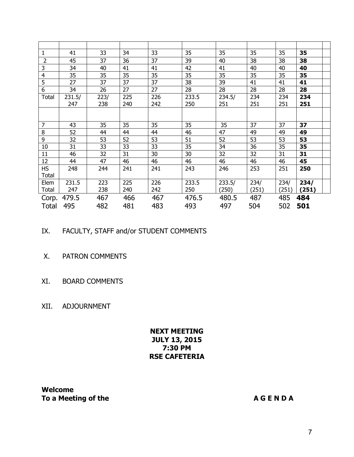| $\mathbf{1}$   | 41     | 33   | 34  | 33  | 35    | 35     | 35    | 35    | 35    |
|----------------|--------|------|-----|-----|-------|--------|-------|-------|-------|
| $\overline{2}$ | 45     | 37   | 36  | 37  | 39    | 40     | 38    | 38    | 38    |
| 3              | 34     | 40   | 41  | 41  | 42    | 41     | 40    | 40    | 40    |
| $\overline{4}$ | 35     | 35   | 35  | 35  | 35    | 35     | 35    | 35    | 35    |
| 5              | 27     | 37   | 37  | 37  | 38    | 39     | 41    | 41    | 41    |
| 6              | 34     | 26   | 27  | 27  | 28    | 28     | 28    | 28    | 28    |
| <b>Total</b>   | 231.5/ | 223/ | 225 | 226 | 233.5 | 234.5/ | 234   | 234   | 234   |
|                | 247    | 238  | 240 | 242 | 250   | 251    | 251   | 251   | 251   |
|                |        |      |     |     |       |        |       |       |       |
|                |        |      |     |     |       |        |       |       |       |
| $\overline{7}$ | 43     | 35   | 35  | 35  | 35    | 35     | 37    | 37    | 37    |
| 8              | 52     | 44   | 44  | 44  | 46    | 47     | 49    | 49    | 49    |
| 9              | 32     | 53   | 52  | 53  | 51    | 52     | 53    | 53    | 53    |
| 10             | 31     | 33   | 33  | 33  | 35    | 34     | 36    | 35    | 35    |
| 11             | 46     | 32   | 31  | 30  | 30    | 32     | 32    | 31    | 31    |
| 12             | 44     | 47   | 46  | 46  | 46    | 46     | 46    | 46    | 45    |
| <b>HS</b>      | 248    | 244  | 241 | 241 | 243   | 246    | 253   | 251   | 250   |
| <b>Total</b>   |        |      |     |     |       |        |       |       |       |
| Elem           | 231.5  | 223  | 225 | 226 | 233.5 | 233.5/ | 234/  | 234/  | 234/  |
| Total          | 247    | 238  | 240 | 242 | 250   | (250)  | (251) | (251) | (251) |
| Corp.          | 479.5  | 467  | 466 | 467 | 476.5 | 480.5  | 487   | 485   | 484   |
| Total          | 495    | 482  | 481 | 483 | 493   | 497    | 504   | 502   | 501   |

- IX. FACULTY, STAFF and/or STUDENT COMMENTS
- X. PATRON COMMENTS
- XI. BOARD COMMENTS
- XII. ADJOURNMENT

# **NEXT MEETING JULY 13, 2015 7:30 PM RSE CAFETERIA**

**Welcome To a Meeting of the A G E N D A A G E N D A**